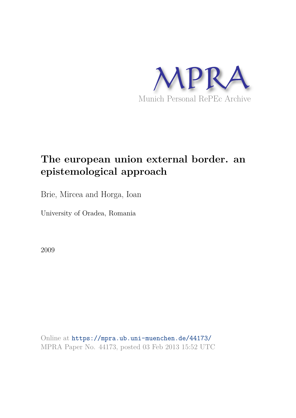

# **The european union external border. an epistemological approach**

Brie, Mircea and Horga, Ioan

University of Oradea, Romania

2009

Online at https://mpra.ub.uni-muenchen.de/44173/ MPRA Paper No. 44173, posted 03 Feb 2013 15:52 UTC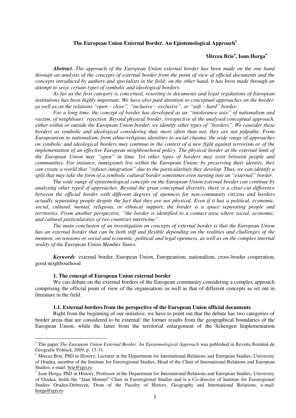# **The European Union External Border. An Epistemological Approach<sup>1</sup>**

# **Mircea Brie , Ioan Horga**

*Abstract. The approach of the European Union external border has been made on the one hand through an analysis of the concepts of external border from the point of view of official documents and the concepts introduced by authors and specialists in the field; on the other hand, it has been made through an attempt to seize certain types of symbolic and ideological borders.* 

*As far as the first category is concerned, resorting to documents and legal regulations of European institutions has been highly important. We have also paid attention to conceptual approaches on the border, as well as on the relations "open – close", "inclusive – exclusive", or "soft – hard" border.* 

*For a long time, the concept of border has developed as an "intolerance axis" of nationalism and racism, of neighbours' rejection. Beyond physical border, irrespective of the analysed conceptual approach, either within or outside the European Union border, we identify other types of "borders". We consider these borders as symbolic and ideological considering that, more often than not, they are not palpable. From Europeanism to nationalism, from ethno-religious identities to social chasms, the wide range of approaches on symbolic and ideological borders may continue in the context of a new fight against terrorism or of the implementation of an effective European neighbourhood policy. The physical border at the external limit of the European Union may "open" in time. Yet other types of borders may exist between people and communities. For instance, immigrants live within the European Union; by preserving their identity, they can create a world that "refuses integration" due to the particularities they develop. Thus, we can identify a split that may take the form of a symbolic cultural border sometimes even turning into an "external" border.*

*The wide range of epistemological concepts on the European Union external border can continue by analysing other typed of approaches. Beyond the great conceptual diversity, there is a clear-cut difference between the official border with different degrees of openness for non-community citizens and borders actually separating people despite the fact that they are not physical. Even if it has a political, economic, social, cultural, mental, religious, or ethnical support, the border is a space separating people and territories. From another perspective, "the border is identified to a contact area where social, economic, and cultural particularities of two countries intertwine".*

*The main conclusion of an investigation on concepts of external border is that the European Union has an external border that can be both stiff and flexible depending on the realities and challenges of the moment, on tensions or social and economic, political and legal openness, as well as on the complex internal reality of the European Union Member States.* 

*Keywords*: external border, European Union, Europeanism, nationalism, cross-border cooperation, good neighbourhood

#### **1. The concept of European Union external border**

 $\overline{a}$ 

We can debate on the external borders of the European community considering a complex approach comprising the official point of view of the organisation, as well as that of different concepts as set out in literature in the field.

#### **1.1. External borders from the perspective of the European Union official documents**

Right from the beginning of our initiative, we have to point out that the debate has two categories of border areas that are considered to be external: the former results from the geographical boundaries of the European Union, while the latter from the territorial enlargement of the Schengen Implementation

<sup>&</sup>lt;sup>1</sup> The paper *The European Union External Border. An Epistemological Approach was published in Revista Română de* Geografie Politică, 2009, p. 15-31.

 Mircea Brie, PhD in History, Lecturer at the Department for International Relations and European Studies, University of Oradea, member of the Institute for Euroregional Studies, Head of the Chair of International Relations and European Studies, e-mail: [brie@igri.ro](mailto:brie@igri.ro) 

<sup>\*</sup> Ioan Horga, PhD in History, Professor at the Department for International Relations and European Studies, University of Oradea, holds the "Jean Monnet" Chair in Euroregional Studies and is a Co-director of Institute for Euroregional Studies Oradea-Debrecen, Dean of the Faculty of History, Geography and International Relations, e-mail: [horga@igri.ro](mailto:horga@igri.ro)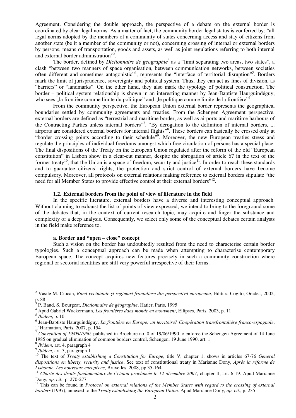Agreement. Considering the double approach, the perspective of a debate on the external border is coordinated by clear legal norms. As a matter of fact, the community border legal status is conferred by: "all legal norms adopted by the members of a community of states concerning access and stay of citizens from another state (be it a member of the community or not), concerning crossing of internal or external borders by persons, means of transportation, goods and assets, as well as joint regulations referring to both internal and external border administration<sup>"2</sup>.

The border, defined by *Dictionnaire de géographie*<sup>3</sup> as a "limit separating two areas, two states", a clash "between two manners of space organisation, between communication networks, between societies often different and sometimes antagonistic<sup>24</sup>, represents the "interface of territorial disruption"<sup>5</sup>. Borders mark the limit of jurisprudence, sovereignty and political system. Thus, they can act as lines of division, as "barriers" or "landmarks". On the other hand, they also mark the typology of political construction. The border – political system relationship is shown in an interesting manner by Jean-Baptiste Haurguindéguy, who sees "la frontière comme limite du politique" and "le politique comme limite de la frontière"<sup>6</sup>.

From the community perspective, the European Union external border represents the geographical boundaries settled by community agreements and treaties. From the Schengen Agreement perspective, external borders are defined as "terrestrial and maritime border, as well as airports and maritime harbours of the Contracting Parties unless internal borders"<sup>7</sup>. "By derogation to the definition of internal borders, ... airports are considered external borders for internal flights<sup>38</sup>. These borders can basically be crossed only at "border crossing points according to their schedule". Moreover, the new European treaties stress and regulate the principles of individual freedoms amongst which free circulation of persons has a special place. The final dispositions of the Treaty on the European Union regulated after the reform of the old "European constitution" in Lisbon show in a clear-cut manner, despite the abrogation of article 67 in the text of the former treaty<sup>10</sup>, that the Union is a space of freedom, security and justice<sup>11</sup>. In order to reach these standards and to guarantee citizens' rights, the protection and strict control of external borders have become compulsory. Moreover, all protocols on external relations making reference to external borders stipulate "the need for all Member States to provide effective control at their external borders"<sup>12</sup>.

# **1.2. External borders from the point of view of literature in the field**

In the specific literature, external borders have a diverse and interesting conceptual approach. Without claiming to exhaust the list of points of view expressed, we intend to bring to the foreground some of the debates that, in the context of current research topic, may acquire and linger the substance and complexity of a deep analysis. Consequently, we select only some of the conceptual debates certain analysts in the field make reference to.

#### **a. Border and "open – close" concept**

Such a vision on the border has undoubtedly resulted from the need to characterise certain border typologies. Such a conceptual approach can be made when attempting to characterise contemporary European space. The concept acquires new features precisely in such a community construction where regional or sectorial identities are still very powerful irrespective of their forms.

 2 Vasile M. Ciocan, *Bună vecinătate şi regimuri frontaliere din perspectivă europeană*, Editura Cogito, Oradea, 2002, p. 88 3

P. Baud, S. Bourgeat, *Dictionnaire de géographie*, Hatier, Paris, 1995

<sup>4</sup> Apud Gabriel Wackermann, *Les frontières dans monde en mouvment*, Ellipses, Paris, 2003, p. 11

<sup>5</sup> *Ibidem*, p. 10

<sup>6</sup> Jean-Baptiste Haurguindéguy, *La frontière en Europe: un territoire? Coopération transfrontalière franco-espagnole*, L`Harmattan, Paris, 2007, p. 154

<sup>7</sup> *Convention of 19/06/1990,* published in Brochure no. 0 of 19/06/1990 to enforce the Schengen Agreement of 14 June 1985 on gradual elimination of common borders control, Schengen, 19 June 1990, art. 1

<sup>8</sup> *Ibidem*, art. 4, paragraph 4

<sup>9</sup> *Ibidem*, art. 3, paragraph 1

<sup>&</sup>lt;sup>10</sup> The text of *Treaty establishing a Constitution for Europe*, title V, chapter 1, shows in articles 67-76 *General dispositions on liberty, security and justice*. See text of constitutional treaty in Marianne Dony, *Après la réforme de Lisbonne. Les nouveaux européens*, Bruxelles, 2008, pp 35-164

<sup>&</sup>lt;sup>11</sup> Charte des droits fondamentaux de l'Union proclamée le 12 décembre 2007, chapter II, art. 6-19. Apud Marianne Dony, *op. cit*., p. 270-277

<sup>&</sup>lt;sup>12</sup> This can be found in *Protocol on external relations of the Member States with regard to the crossing of external borders* (1997), annexed to the *Treaty establishing the European Union*. Apud Marianne Dony, *op. cit*., p. 235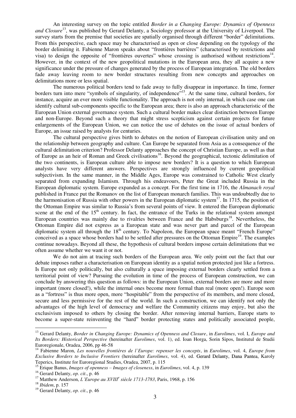An interesting survey on the topic entitled *Border in a Changing Europe: Dynamics of Openness and Closure*<sup>13</sup>, was published by Gerard Delanty, a Sociology professor at the University of Liverpool. The survey starts from the premise that societies are spatially organised through different "border" delimitations. From this perspective, each space may be characterised as open or close depending on the typology of the border delimiting it. Fabienne Maron speaks about "frontières barrières" (characterised by restrictions and visa) to design the opposite of "frontières ouvertes" whose crossing is authorised without restrictions $14$ . However, in the context of the new geopolitical mutations in the European area, they all acquire a new significance under the pressure of changes generated by the process of European integration. The old borders fade away leaving room to new border structures resulting from new concepts and approaches on delimitations more or less spatial.

The numerous political borders tend to fade away to fully disappear in importance. In time, former borders turn into mere "symbols of singularity, of independence"<sup>15</sup>. At the same time, cultural borders, for instance, acquire an ever more visible functionality. The approach is not only internal, in which case one can identify cultural sub-components specific to the European area; there is also an approach characteristic of the European Union external governance system. Such a cultural border makes clear distinction between Europe and non-Europe. Beyond such a theory that might stress scepticism against certain projects for future enlargements of the European Union, we can notice the use of debates on the issue of actual borders of Europe, an issue raised by analysts for centuries.

The cultural perspective gives birth to debates on the notion of European civilisation unity and on the relationship between geography and culture. Can Europe be separated from Asia as a consequence of the cultural delimitation criterion? Professor Delanty approaches the concept of Christian Europe, as well as that of Europe as an heir of Roman and Greek civilisations<sup>16</sup>. Beyond the geographical, tectonic delimitation of the two continents, is European culture able to impose new borders? It is a question to which European analysts have very different answers. Perspectives are strongly influenced by current geopolitical subjectivism. In the same manner, in the Middle Ages, Europe was constrained to Catholic West clearly separated from expanding Islamism. Through his endeavours, Peter the Great included Russia in the European diplomatic system. Europe expanded as a concept. For the first time in 1716, the *Almanach royal* published in France put the Romanov on the list of European monarch families. This was undoubtedly due to the harmonisation of Russia with other powers in the European diplomatic system<sup>17</sup>. In 1715, the position of the Ottoman Empire was similar to Russia's from several points of view. It entered the European diplomatic scene at the end of the 15<sup>th</sup> century. In fact, the entrance of the Turks in the relational system amongst European countries was mainly due to rivalries between France and the Habsburgs<sup>18</sup>. Nevertheless, the Ottoman Empire did not express as a European state and was never part and parcel of the European diplomatic system all through the 18<sup>th</sup> century. To Napoleon, the European space meant "French Europe" conceived as a space whose borders had to be settled after pressures on the Ottoman Empire<sup>19</sup>. The examples continue nowadays. Beyond all these, the hypothesis of cultural borders impose certain delimitations that we often assume whether we want it or not.

We do not aim at tracing such borders of the European area. We only point out the fact that our debate imposes rather a characterisation on European identity as a spatial notion protected just like a fortress. Is Europe not only politically, but also culturally a space imposing external borders clearly settled from a territorial point of view? Pursuing the evolution in time of the process of European construction, we can conclude by answering this question as follows: in the European Union, external borders are more and more important (more closed!), while the internal ones become more formal than real (more open!). Europe seen as a "fortress" is thus more open, more "hospitable" from the perspective of its members, and more closed, secure and less permissive for the rest of the world. In such a construction, we can identify not only the advantages of the high level of democracy and welfare the Community citizens may enjoy, but also the exclusivism imposed to others by closing the border. After removing internal barriers, Europe starts to become a super-state reinventing the "hard" border protecting states and politically associated people,

<sup>13</sup> Gerard Delanty, *Border in Changing Europe: Dynamics of Openness and Closure*, in *Eurolimes*, vol. I, *Europe and Its Borders: Historical Perspective* (hereinafter *Eurolimes*, vol. 1), ed. Ioan Horga, Sorin Sipos, Institutul de Studii Euroregionale, Oradea, 2006, pp 46-58

<sup>14</sup> Fabienne Maron, *Les nouvelles frontières de l`Europe: repenser les concepts*, in *Eurolimes*, vol. 4, *Europe from Exclusive Borders to Inclusive Frontiers* (hereinafter *Eurolimes*, vol. 4), ed. Gerard Delanty, Dana Pantea, Karoly Teperics, Institute for Euroregional Studies, Oradea, 2007, p. 115

<sup>15</sup> Erique Banus, *Images of openness – Images of closeness*, in *Eurolimes*, vol. 4, p. 139

<sup>16</sup> Gerard Delanty, *op. cit*., p. 46

<sup>17</sup> Matthew Anderson, *L'Europe au XVIII<sup>e</sup> siècle 1713-1783*, Paris, 1968, p. 156

<sup>18</sup> *Ibidem*, p. 157

<sup>19</sup> Gerard Delanty, *op. cit*., p. 46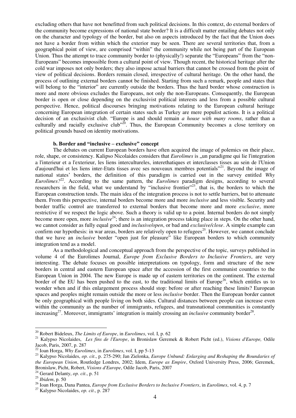excluding others that have not benefitted from such political decisions. In this context, do external borders of the community become expressions of national state border? It is a difficult matter entailing debates not only on the character and typology of the border, but also on aspects introduced by the fact that the Union does not have a border from within which the exterior may be seen. There are several territories that, from a geographical point of view, are comprised "within" the community while not being part of the European Union. Thus the attempt to trace community border to (physically!) separate the "Europeans" from the "non-Europeans" becomes impossible from a cultural point of view. Though recent, the historical heritage after the cold war imposes not only borders; they also impose actual barriers that cannot be crossed from the point of view of political decisions. Borders remain closed, irrespective of cultural heritage. On the other hand, the process of outlining external borders cannot be finished. Starting from such a remark, people and states that will belong to the "interior" are currently outside the borders. Thus the hard border whose construction is more and more obvious excludes the Europeans, not only the non-Europeans. Consequently, the European border is open or close depending on the exclusivist political interests and less from a possible cultural perspective. Hence, political discourses bringing motivations relating to the European cultural heritage concerning European integration of certain states such as Turkey are mere populist actions. It is a political decision of an exclusivist club. "Europe is and should remain *a house with many rooms*, rather than a culturally and racially exclusive club<sup> $20$ </sup>. Thus, the European Community becomes a close territory on political grounds based on identity motivations.

## **b. Border and "inclusive – exclusive" concept**

The debates on current European borders have often acquired the image of polemics on their place, role, shape, or consistency. Kalipso Nicolaides considers that *Eurolimes* is <sub>u</sub>un paradigme qui lie l'integration a l'interieur et a l'exterieur, les liens intercultureles, interethatiques et interclasses tisses au sein de l'Union d'aujourd'hui et les liens inter-Etats tisses avec ses nouveaux membres potentials"<sup>21</sup>. Beyond the image of national states' borders, the definition of this paradigm is carried out in the survey entitled *Why Eurolimes?*<sup>22</sup>. According to the same pattern, the *Eurolimes* paradigm designs, according to several researchers in the field, what we understand by "inclusive frontier"<sup>23</sup>, that is, the borders to which the European construction tends. The main idea of the integration process is not to settle barriers, but to attenuate them. From this perspective, internal borders become more and more *inclusive* and less visible. Security and border traffic control are transferred to external borders that become more and more *exclusive*, more restrictive if we respect the logic above. Such a theory is valid up to a point. Internal borders do not simply become more open, more *inclusive*<sup>24</sup>; there is an integration process taking place in steps. On the other hand, we cannot consider as fully equal good and *inclusive/open*, or bad and *exclusive/close*. A simple example can confirm our hypothesis: in war areas, borders are relatively open to refugees<sup>25</sup>. However, we cannot conclude that we have an *inclusive* border "open just for pleasure" like European borders to which community integration tend as a model.

As a methodological and conceptual approach from the perspective of the topic, surveys published in volume 4 of the Eurolimes Journal, *Europe from Exclusive Borders to Inclusive Frontiers*, are very interesting. The debate focuses on possible interpretations on typology, form and structure of the new borders in central and eastern European space after the accession of the first communist countries to the European Union in 2004. The new Europe is made up of eastern territories on the continent. The external border of the EU has been pushed to the east, to the traditional limits of Europe<sup>26</sup>, which entitles us to wonder when and if this enlargement process should stop: before or after reaching these limits? European spaces and peoples might remain outside the more or less *inclusive* border. Then the European border cannot be only geographical with people living on both sides. Cultural distances between people can increase even within the community as the number of immigrants, refugees, and transnational communities is constantly increasing<sup>27</sup>. Moreover, immigrants' integration is mainly crossing an *inclusive* community border<sup>28</sup>.

<sup>20</sup> Robert Bideleux, *The Limits of Europe*, in *Eurolimes*, vol. I, p. 62

<sup>21</sup> Kalypso Nicolaides, *Les fins de l'Europe*, in Bronislaw Geremek & Robert Picht (ed.), *Visions d'Europe,* Odile Jacob, Paris, 2007, p. 287

<sup>22</sup> Ioan Horga, *Why Eurolimes*, in *Eurolimes*, vol. I, pp 5-13

<sup>23</sup> Kalypso Nicolaides, *op. cit*., p. 275-290; Jan Zielonka, *Europe Unbund: Enlarging and Reshaping the Boundaries of the European Union*, Routledge Londres, 2002; Idem, *Europe as Empire*, Oxford University Press, 2006; Geremek, Bronislaw, Picht, Robert, *Visions d'Europe*, Odile Jacob, Paris, 2007

<sup>24</sup> Gerard Delanty, *op. cit*., p. 51

<sup>25</sup> *Ibidem*, p. 50

<sup>26</sup> Ioan Horga, Dana Pantea, *Europe from Exclusive Borders to Inclusive Frontiers*, in *Eurolimes*, vol. 4, p. 7

<sup>27</sup> Kalypso Nicolaides, *op. cit*., p. 287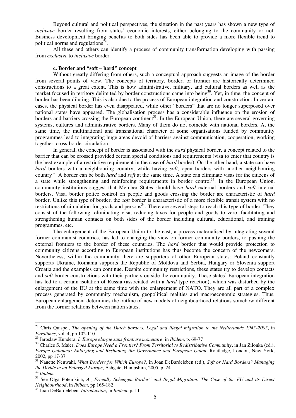Beyond cultural and political perspectives, the situation in the past years has shown a new type of *inclusive* border resulting from states' economic interests, either belonging to the community or not. Business development bringing benefits to both sides has been able to provide a more flexible trend to political norms and regulations $^{29}$ .

All these and others can identify a process of community transformation developing with passing from *exclusive* to *inclusive* border.

# **c. Border and "soft – hard" concept**

Without greatly differing from others, such a conceptual approach suggests an image of the border from several points of view. The concepts of territory, border, or frontier are historically determined constructions to a great extent. This is how administrative, military, and cultural borders as well as the market focused in territory delimited by border constructions came into being<sup>30</sup>. Yet, in time, the concept of border has been diluting. This is also due to the process of European integration and construction. In certain cases, the physical border has even disappeared, while other "borders" that are no longer superposed over national states have appeared. The globalisation process has a considerable influence on the erosion of borders and barriers crossing the European continent<sup>31</sup>. In the European Union, there are several governing systems, cultures and administrative borders. Many of them do not coincide with national borders. At the same time, the multinational and transnational character of some organisations funded by community programmes lead to integrating huge areas devoid of barriers against communication, cooperation, working together, cross-border circulation.

In general, the concept of border is associated with the *hard* physical border, a concept related to the barrier that can be crossed provided certain special conditions and requirements (visa to enter that country is the best example of a restrictive requirement in the case of *hard* border). On the other hand, a state can have *hard* borders with a neighbouring country, while having *soft*, open borders with another neighbouring country<sup>32</sup>. A border can be both *hard* and *soft* at the same time. A state can eliminate visas for the citizens of a state while strengthening and reinforcing requirements in border control<sup>33</sup>. In the European Union, community institutions suggest that Member States should have *hard* external borders and *soft* internal borders. Visa, border police control on people and goods crossing the border are characteristic of *hard* border. Unlike this type of border, the *soft* border is characteristic of a more flexible transit system with no restrictions of circulation for goods and persons $34$ . There are several steps to reach this type of border. They consist of the following: eliminating visa, reducing taxes for people and goods to zero, facilitating and strengthening human contacts on both sides of the border including cultural, educational, and training programmes, etc.

The enlargement of the European Union to the east, a process materialised by integrating several former communist countries, has led to changing the view on former community borders, to pushing the external frontiers to the border of these countries. The *hard* border that would provide protection to community citizens according to European institutions has thus become the concern of the newcomers. Nevertheless, within the community there are supporters of other European states: Poland constantly supports Ukraine, Romania supports the Republic of Moldova and Serbia, Hungary or Slovenia support Croatia and the examples can continue. Despite community restrictions, these states try to develop contacts and *soft* border constructions with their partners outside the community. These states' European integration has led to a certain isolation of Russia (associated with a *hard* type reaction), which was disturbed by the enlargement of the EU at the same time with the enlargement of NATO. They are all part of a complex process generated by community mechanism, geopolitical realities and macroeconomic strategies. Thus, European enlargement determines the outline of new models of neighbourhood relations somehow different from the former relations between nation states.

<sup>28</sup> Chris Quispel, *The opening of the Dutch borders. Legal and illegal migration to the Netherlands 1945-2005*, in *Eurolimes*, vol. 4, pp 102-110

<sup>29</sup> Jaroslaw Kundera, *L'Europe elargie sans frontiere monetaire*, in *Ibidem*, p. 69-77

<sup>&</sup>lt;sup>30</sup> Charles S. Maier, *Does Europe Need a Frontier? From Territorial to Redistributive Community*, in Jan Zilonka (ed.), *Europe Unbound: Enlarging and Reshaping the Governance and European Union*, Routledge, London, New York, 2002, pp 17-37

<sup>31</sup> Nanette Neuwahl, *What Borders for Which Europe?*, in Joan DeBardeleben (ed.), *Soft or Hard Borders? Managing the Divide in an Enlarged Europe*, Ashgate, Hampshire, 2005, p. 24

<sup>32</sup> *Ibidem* 

<sup>&</sup>lt;sup>33</sup> See Olga Potemkina, *A "Friendly Schengen Border" and Ilegal Migration: The Case of the EU and its Direct Neighbourhood*, in *Ibibem*, pp 165-182

<sup>34</sup> Joan DeBardeleben, *Introduction*, in *Ibidem*, p. 11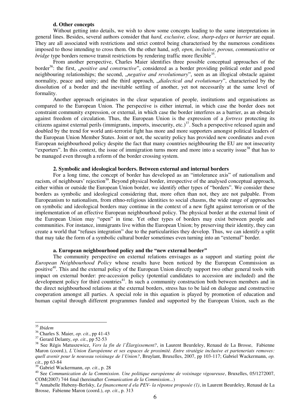## **d. Other concepts**

Without getting into details, we wish to show some concepts leading to the same interpretations in general lines. Besides, several authors consider that *hard, exclusive, close, sharp-edges* or *barrier* are equal. They are all associated with restrictions and strict control being characterised by the numerous conditions imposed to those intending to cross them. On the other hand, *soft, open, inclusive, porous, communicative* or *bridge* type borders remove transit restrictions by rendering traffic more flexible<sup>35</sup>.

From another perspective, Charles Maier identifies three possible conceptual approaches of the border<sup>36</sup>: the first, *positive and constructive*", considered as a border providing political order and good neighbouring relationships; the second, *"negative and revolutionary*", seen as an illogical obstacle against normality, peace and unity; and the third approach, *"dialectical and evolutionary*", characterised by the dissolution of a border and the inevitable settling of another, yet not necessarily at the same level of formality.

Another approach originates in the clear separation of people, institutions and organisations as compared to the European Union. The perspective is either internal, in which case the border does not constraint community expression, or external, in which case the border interferes as a barrier, as an obstacle against freedom of circulation. Thus, the European Union is the expression of a *fortress* protecting its citizens against external perils (immigrants, imports, insecurity, etc.) $37$ . Such a perspective released again and doubled by the trend for world anti-terrorist fight has more and more supporters amongst political leaders of the European Union Member States. Joint or not, the security policy has provided new coordinates and even European neighbourhood policy despite the fact that many countries neighbouring the EU are not insecurity "exporters". In this context, the issue of immigration turns more and more into a security issue<sup>38</sup> that has to be managed even through a reform of the border crossing system.

#### **2. Symbolic and ideological borders. Between external and internal borders**

For a long time, the concept of border has developed as an "intolerance axis" of nationalism and racism, of neighbours' rejection<sup>39</sup>. Beyond physical border, irrespective of the analysed conceptual approach, either within or outside the European Union border, we identify other types of "borders". We consider these borders as symbolic and ideological considering that, more often than not, they are not palpable. From Europeanism to nationalism, from ethno-religious identities to social chasms, the wide range of approaches on symbolic and ideological borders may continue in the context of a new fight against terrorism or of the implementation of an effective European neighbourhood policy. The physical border at the external limit of the European Union may "open" in time. Yet other types of borders may exist between people and communities. For instance, immigrants live within the European Union; by preserving their identity, they can create a world that "refuses integration" due to the particularities they develop. Thus, we can identify a split that may take the form of a symbolic cultural border sometimes even turning into an "external" border.

# **a. European neighbourhood policy and the "new external border"**

The community perspective on external relations envisages as a support and starting point *the European Neighbourhood Policy* whose results have been noticed by the European Commission as positive<sup>40</sup>. This and the external policy of the European Union directly support two other general tools with impact on external border: pre-accession policy (potential candidates to accession are included) and the development policy for third countries<sup>41</sup>. In such a community construction both between members and in the direct neighbourhood relations at the external borders, stress has to be laid on dialogue and constructive cooperation amongst all parties. A special role in this equation is played by promotion of education and human capital through different programmes funded and supported by the European Union, such as the

<sup>35</sup> *Ibidem* 

<sup>36</sup> Charles S. Maier, *op. cit*., pp 41-43

<sup>37</sup> Gerard Delanty, *op. cit*., pp 52-53

<sup>38</sup> See Régis Matuszewicz, *Vers la fin de l`Élargissement?*, in Laurent Beurdeley, Renaud de La Brosse, Fabienne Maron (coord.), *L`Union Européenne et ses espaces de proximité. Entre stratégie inclusive et parteneriats removes: quell avenir pour le nouveau voisinage de l`Union?*, Bruylant, Bruxelles, 2007, pp 103-117; Gabriel Wackermann, *op. cit*., pp 63-84

<sup>39</sup> Gabriel Wackermann, *op. cit*., p. 28

<sup>40</sup> See *Communication de la Commission. Une politique européenne de voisinage vigoureuse*, Bruxelles, 05/1272007, COM(2007) 744 final (hereinafter *Comunication de la Commission...*)

<sup>41</sup> Annabelle Hubeny-Berlsky, *Le financement d ela PEV- la réponse proposée (1)*, in Laurent Beurdeley, Renaud de La Brosse, Fabienne Maron (coord.), *op. cit*., p. 313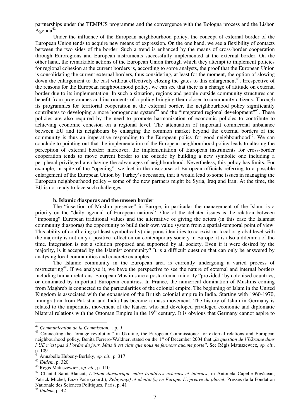partnerships under the TEMPUS programme and the convergence with the Bologna process and the Lisbon Agenda<sup>42</sup>.

Under the influence of the European neighbourhood policy, the concept of external border of the European Union tends to acquire new means of expression. On the one hand, we see a flexibility of contacts between the two sides of the border. Such a trend is enhanced by the means of cross-border cooperation through Euroregions and European instruments successfully implemented at the external border. On the other hand, the remarkable actions of the European Union through which they attempt to implement policies for regional cohesion at the current borders is, according to some analysts, the proof that the European Union is consolidating the current external borders, thus considering, at least for the moment, the option of slowing down the enlargement to the east without effectively closing the gates to this enlargement<sup>43</sup>. Irrespective of the reasons for the European neighbourhood policy, we can see that there is a change of attitude on external border due to its implementation. In such a situation, regions and people outside community structures can benefit from programmes and instruments of a policy bringing them closer to community citizens. Through its programmes for territorial cooperation at the external border, the neighbourhood policy significantly contributes to developing a more homogenous system<sup>44</sup> and the "integrated regional development"<sup>45</sup>. These policies are also required by the need to promote harmonisation of economic policies to contribute to achieving economic cohesion on a regional level. The attenuation of important commercial unbalance between EU and its neighbours by enlarging the common market beyond the external borders of the community is thus an imperative responding to the European policy for good neighbourhood<sup>46</sup>. We can conclude to pointing out that the implementation of the European neighbourhood policy leads to altering the perception of external border; moreover, the implementation of European instruments for cross-border cooperation tends to move current border to the outside by building a new symbolic one including a peripheral privileged area having the advantages of neighbourhood. Nevertheless, this policy has limits. For example, in spite of the "opening", we feel in the discourse of European officials referring to a possible enlargement of the European Union by Turkey's accession, that it would lead to some issues in managing the European neighbourhood policy – some of the new partners might be Syria, Iraq and Iran. At the time, the EU is not ready to face such challenges.

## **b. Islamic diasporas and the unseen border**

The "insertion of Muslim presence" in Europe, in particular the management of the Islam, is a priority on the "daily agenda" of European nations<sup>47</sup>. One of the debated issues is the relation between "imposing" European traditional values and the alternative of giving the actors (in this case the Islamist community diasporas) the opportunity to build their own value system from a spatial-temporal point of view. This ability of conflicting (at least symbolically) diasporas identities to co-exist on local or global level with the majority is not only a positive reflection on contemporary society in Europe, it is also a dilemma of the time. Integration is not a solution proposed and supported by all society. Even if it were desired by the majority, is it accepted by the Islamist community? It is a difficult question that can only be answered by analysing local communities and concrete examples.

The Islamic community in the European area is currently undergoing a varied process of restructuring<sup>48</sup>. If we analyse it, we have the perspective to see the nature of external and internal borders including human relations. European Muslims are a postcolonial minority "provided" by colonised countries, or dominated by important European countries. In France, the numerical domination of Muslims coming from Maghreb is connected to the particularities of the colonial empire. The beginning of Islam in the United Kingdom is associated with the expansion of the British colonial empire in India. Starting with 1960-1970, immigration from Pakistan and India has become a mass movement. The history of Islam in Germany is related to the imperialist movement of the Kaiser, who had developed privileged economic and diplomatic bilateral relations with the Ottoman Empire in the  $19<sup>th</sup>$  century. It is obvious that Germany cannot aspire to

<sup>42</sup> *Communication de la Commission...*, p. 9

<sup>&</sup>lt;sup>43</sup> Connecting the "orange revolution" in Ukraine, the European Commissioner for external relations and European neighbourhood policy, Benita Ferrero-Waldner, stated on the 1<sup>st</sup> of December 2004 that *"la question de l'Ukraine dans l'UE n'est pas à l'ordre du jour. Mais il est clair que nous ne fermons aucune porte*". See Régis Matuszewicz, *op. cit*., p. 109

<sup>44</sup> Annabelle Hubeny-Berlsky, *op. cit*., p. 317

<sup>45</sup> *Ibidem*, p. 320

<sup>46</sup> Régis Matuszewicz, *op. cit*., p. 110

<sup>47</sup> Chantal Saint-Blancat, *L'islam diasporique entre frontières externes et internes*, in Antonela Capelle-Pogăcean, Patrick Michel, Enzo Pace (coord.), *Religion(s) et identité(s) en Europe. L`épreuve du pluriel*, Presses de la Fondation Nationale des Sciences Politiques, Paris, p. 41

<sup>48</sup> *Ibidem*, p. 42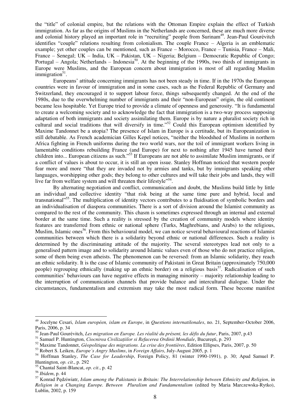the "title" of colonial empire, but the relations with the Ottoman Empire explain the effect of Turkish immigration. As far as the origins of Muslims in the Netherlands are concerned, these are much more diverse and colonial history played an important role in "recruiting" people from Surinam<sup>49</sup>. Jean-Paul Gourévitch identifies "couple" relations resulting from colonialism. The couple France – Algeria is an emblematic example; yet other couples can be mentioned, such as France – Morocco, France – Tunisia, France – Mali, France – Senegal; UK – India, UK – Pakistan, UK – Nigeria; Belgium – Democratic Republic of Congo; Portugal – Angola; Netherlands – Indonesia<sup>50</sup>. At the beginning of the 1990s, two thirds of immigrants in Europe were Muslims, and the European concern about immigration is most of all regarding Muslim immigration<sup>51</sup>.

Europeans' attitude concerning immigrants has not been steady in time. If in the 1970s the European countries were in favour of immigration and in some cases, such as the Federal Republic of Germany and Switzerland, they encouraged it to support labour force, things subsequently changed. At the end of the 1980s, due to the overwhelming number of immigrants and their "non-European" origin, the old continent became less hospitable. Yet Europe tried to provide a climate of openness and generosity. "It is fundamental to create a welcoming society and to acknowledge the fact that immigration is a two-way process supposing adaptation of both immigrants and society assimilating them. Europe is by nature a pluralist society rich in cultural and social traditions that will diversify in time."<sup>52</sup> Could this European optimism identified by Maxime Tandonnet be a utopia? The presence of Islam in Europe is a certitude, but its Europeanization is still debatable. As French academician Gilles Kepel notices, "neither the bloodshed of Muslims in northern Africa fighting in French uniforms during the two world wars, nor the toil of immigrant workers living in lamentable conditions rebuilding France (and Europe) for next to nothing after 1945 have turned their children into... European citizens as such."<sup>53</sup> If Europeans are not able to assimilate Muslim immigrants, or if a conflict of values is about to occur, it is still an open issue. Stanley Hoffman noticed that western people fear more and more "that they are invaded not by armies and tanks, but by immigrants speaking other languages, worshipping other gods; they belong to other cultures and will take their jobs and lands, they will live far from welfare system and will threaten their lifestyle<sup>554</sup>.

By alternating negotiation and conflict, communication and doubt, the Muslims build little by little an individual and collective identity "that risk being at the same time pure and hybrid, local and transnational<sup>555</sup>. The multiplication of identity vectors contributes to a fluidisation of symbolic borders and an individualisation of diaspora communities. There is a sort of division around the Islamist community as compared to the rest of the community. This chasm is sometimes expressed through an internal and external border at the same time. Such a reality is stressed by the creation of community models where identity features are transferred from ethnic or national sphere (Turks, Maghrebians, and Arabs) to the religious, Muslim, Islamic ones<sup>56</sup>. From this behavioural model, we can notice several behavioural reactions of Islamist communities between which there is a solidarity beyond ethnic or national differences. Such a reality is determined by the discriminating attitude of the majority. The several stereotypes lead not only to a generalised pattern image and to solidarity around Islamic values even of those who do not practice religion, some of them being even atheists. The phenomenon can be reversed: from an Islamic solidarity, they reach an ethnic solidarity. It is the case of Islamic community of Pakistani in Great Britain (approximately 750,000 people) regrouping ethnically (making up an ethnic border) on a religious basis<sup>57</sup>. Radicalisation of such communities' behaviours can have negative effects in managing minority – majority relationship leading to the interruption of communication channels that provide balance and intercultural dialogue. Under the circumstances, fundamentalism and extremism may take the most radical form. These become manifest

<sup>49</sup> Jocelyne Cesari, *Islam européen, islam en Europe*, in *Questions internatilonales*, no. 21, September-October 2006, Paris, 2006, p. 34

<sup>50</sup> Jean-Paul Gourévitch, *Les migration en Europe. Les réalité du présent, les défis du futur*, Paris, 2007, p.43

<sup>51</sup> Samuel P. Huntington, *Ciocnirea Civilizaţiilor si Refacerea Ordinii Mondiale*, Bucureşti, p. 293

<sup>52</sup> Maxime Tandonnet, *Géopolitique des migrations. La crise des frontières*, Edition Ellipses, Paris, 2007, p. 50

<sup>53</sup> Robert S. Leiken, *Europe´s Angry Muslims*, in *Foreign Affairs*, July-August 2005, p. 1

<sup>54</sup> Hoffman Stanley, *The Case for Leadership*, Foreign Policy, 81 (winter 1990-1991), p. 30; Apud Samuel P. Huntington, *op. cit*., p. 292

<sup>55</sup> Chantal Saint-Blancat, *op. cit*., p. 42

<sup>56</sup> *Ibidem*, p. 44

<sup>57</sup> Konrad Pędziwiatr, *Islam among the Pakistanis in Britain: The Interrelationship between Ethnicity and Religion*, in *Religion in a Changing Europe. Between Pluralism and Fundamentalism* (edited by Maria Marczewska-Rytko), Lublin, 2002, p. 159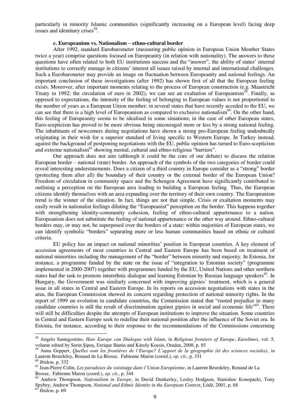particularly in minority Islamic communities (significantly increasing on a European level) facing deep issues and identitary crises<sup>58</sup>.

# **c. Europeanism vs. Nationalism – ethno-cultural border**

After 1992, standard Eurobarometer (measuring public opinion in European Union Member States twice a year) comprise questions focused on Europeanity (in relation with nationality). The answers to these questions have often related to both EU institutions success and the "answer", the ability of states' internal institutions to correctly manage in citizens' interest all issues raised by internal and international challenges. Such a Eurobarometer may provide an image on fluctuation between Europeanity and national feelings. An important conclusion of these investigations (after 1992) has shown first of all that the European feeling exists. Moreover, after important moments relating to the process of European construction (e.g. Maastricht Treaty in 1992; the circulation of euro in 2002), we can see an exaltation of Europeanism<sup>59</sup>. Finally, as opposed to expectations, the intensity of the feeling of belonging to European values is not proportional to the number of years as a European Union member: in several states that have recently acceded to the EU, we can see that there is a high level of Europeanism as compared to exclusive nationalism $^{60}$ . On the other hand, this feeling of Europeanity seems to be idealised in some situations; in the case of other European states, Euro-scepticism has proved to be more obvious being encouraged more or less by a strong national feeling. The inhabitants of newcomers during negotiations have shown a strong pro-European feeling undoubtedly originating in their wish for a superior standard of living specific to Western Europe. In Turkey instead, against the background of postponing negotiations with the EU, public opinion has turned to Euro-scepticism and extreme nationalism<sup>61</sup> showing mental, cultural and ethno-religious "barriers".

Our approach does not aim (although it could be the core of our debate) to discuss the relation European border – national (state) border. An approach of the symbols of the two categories of border could reveal interesting understatements. Does a citizen of a third country in Europe consider as a "strong" border (protecting them after all) the boundary of their country or the external border of the European Union? Freedom of circulation in community space and the Schengen Agreement have significantly contributed to outlining a perception on the European area leading to building a European feeling. Thus, the European citizens identify themselves with an area expanding over the territory of their own country. The Europeanism trend is the winner of the situation. In fact, things are not that simple. Crisis or exaltation moments may easily result in nationalist feelings diluting the "Europeanist" perception on the border. This happens together with strengthening identity-community cohesion, feeling of ethno-cultural appurtenance to a nation. Europeanism does not substitute the feeling of national appurtenance or the other way around. Ethno-cultural borders may, or may not, be superposed over the borders of a state: within majorities of European states, we can identify symbolic "borders" separating more or less human communities based on ethnic or cultural criteria.

EU policy has an impact on national minorities' position in European countries. A key element of accession agreements of most countries in Central and Eastern Europe has been based on treatment of national minorities including the management of the "border" between minority and majority. In Estonia, for instance, a programme funded by the state on the issue of "integration to Estonian society" (programme implemented in 2000-2007) together with programmes funded by the EU, United Nations and other northern states had the task to promote interethnic dialogue and learning Estonian by Russian language speakers<sup>62</sup>. In Hungary, the Government was similarly concerned with improving gipsies' treatment, which is a general issue in all states in Central and Eastern Europe. In its reports on accession negotiations with states in the area, the European Commission showed its concern regarding protection of national minority rights. In the report of 1999 on evolution in candidate countries, the Commission stated that "rooted prejudice in many candidate countries is still the result of discrimination against gipsies in social and economic life<sup>163</sup>. There will still be difficulties despite the attempts of European institutions to improve the situation. Some countries in Central and Eastern Europe seek to redefine their national position after the influence of the Soviet era. In Estonia, for instance, according to their response to the recommendations of the Commissions concerning

<sup>58</sup> Angelo Santagostino, *Haw Europe can Dialogue with Islam*, in *Religious frontiers of Europe*, *Eurolimes*, vol. 5, volume edited by Sorin Şipoş, Enrique Banús and Károly Kocsis, Oradea, 2008, p. 85

<sup>59</sup> Anna Geppert, *Quelles sont les frontières de l'Europe? L'apport de la géographie (et des sciences sociales)*, in Laurent Beurdeley, Renaud de La Brosse, Fabienne Maron (coord.), *op. cit*., p. 331

<sup>60</sup> *Ibidem*, p. 332

<sup>61</sup> Jean-Pierre Colin, *Les paradoxes du voisinage dans l'Union Européenne*, in Laurent Beurdeley, Renaud de La Brosse, Fabienne Maron (coord.), *op. cit*., p. 344

<sup>62</sup> Andrew Thompson, *Naţionalism in Europe*, in David Dunkerley, Lesley Hodgson, Stanisław Konopacki, Tony Spybey, Andrew Thompson, *National and Ethnic Identity in the European Context*, Łódź, 2001, p. 68 <sup>63</sup> *Ibidem*, p. 69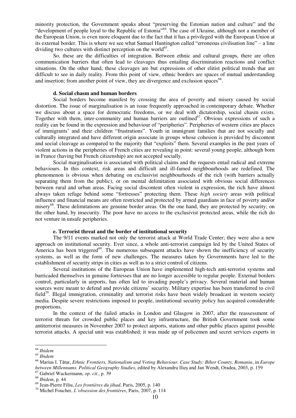minority protection, the Government speaks about "preserving the Estonian nation and culture" and the "development of people loyal to the Republic of Estonia"<sup>64</sup>. The case of Ukraine, although not a member of the European Union, is even more eloquent due to the fact that it has a privileged with the European Union at its external border. This is where we see what Samuel Huntington called "erroneous civilisation line" – a line dividing two cultures with distinct perception on the world<sup>65</sup>.

So, these are the difficulties of integration. Between ethnic and cultural groups, there are often communication barriers that often lead to cleavages thus entailing discrimination reactions and conflict situations. On the other hand, these cleavages are but expressions of other elitist political trends that are difficult to see in daily reality. From this point of view, ethnic borders are spaces of mutual understanding and insertion; from another point of view, they are divergence and exclusion spaces $^{66}$ .

#### **d. Social chasm and human borders**

Social borders become manifest by crossing the area of poverty and misery caused by social distortion. The issue of marginalisation is an issue frequently approached in contemporary debate. Whether we discuss about a space for democratic freedoms, or we deal with dictatorship, social chasm exists. Together with them, inter-community and human barriers are outlined<sup>67</sup>. Obvious expressions of such a reality can be found in the expression and behaviour of "peripheries". Peripheries of western cities are places of immigrants' and their children "frustrations". Youth in immigrant families that are not socially and culturally integrated and have different origin associate in groups whose cohesion is provided by discontent and social cleavage as compared to the majority that "exploits" them. Several examples in the past years of violent actions in the peripheries of French cities are revealing in point: several young people, although born in France (having but French citizenship) are not accepted socially.

Social marginalisation is associated with political claims and the requests entail radical and extreme behaviours. In this context, risk areas and difficult and ill-famed neighbourhoods are redefined. The phenomenon is obvious when debating on exclusivist neighbourhoods of the rich (with barriers actually separating them from the public), or on mental delimitation associated with obvious social differences between rural and urban areas. Facing social discontent often violent in expression, the rich have almost always taken refuge behind some "fortresses" protecting them. These *high society* areas with political influence and financial means are often restricted and protected by armed guardians in face of poverty and/or misery<sup>68</sup>. These delimitations are genuine border areas. On the one hand, they are protected by security; on the other hand, by insecurity. The poor have no access to the exclusivist protected areas, while the rich do not venture in unsafe peripheries.

## **e. Terrorist threat and the border of institutional security**

The 9/11 events marked not only the terrorist attack at World Trade Center; they were also a new approach on institutional security. Ever since, a whole anti-terrorist campaign led by the United States of America has been triggered<sup>69</sup>. The numerous subsequent attacks have shown the inefficiency of security systems, as well as the form of new challenges. The measures taken by Governments have led to the establishment of security strips in cities as well as to a strict control of citizens.

Several institutions of the European Union have implemented high-tech anti-terrorist systems and barricaded themselves in genuine fortresses that are no longer accessible to regular people. External borders control, particularly in airports, has often led to invading people's privacy. Several material and human sources were meant to defend and provide citizens' security. Military expertise has been transferred to civil field<sup>70</sup>. Illegal immigration, criminality and terrorist risks have been widely broadcast in western society media. Despite severe restrictions imposed to people, institutional security policy has acquired considerable proportions.

In the context of the failed attacks in London and Glasgow in 2007, after the reassessment of terrorist threats for crowded public places and key infrastructure, the British Government took some antiterrorist measures in November 2007 to protect airports, stations and other public places against possible terrorist attacks. A special unit was established; it was made up of policemen and secret services experts in

<sup>64</sup> *Ibidem* 

<sup>65</sup> *Ibidem* 

<sup>66</sup> Marius I. Tătar, *Ethnic Frontiers, Nationalism and Voting Behaviour. Case Study: Bihor County, Romania*, in *Europe between Millennums. Political Geography Studies*, edited by Alexandru Ilieş and Jan Wendt, Oradea, 2003, p. 159 <sup>67</sup> Gabriel Wackermann, *op. cit*., p. 39

<sup>68</sup> *Ibidem*, p. 44

<sup>69</sup> Jean-Pierre Filiu, *Les frontières du jihad*, Paris, 2005, p. 140

<sup>70</sup> Michel Foucher, *L'obsession des frontières*, Paris, 2007, p. 114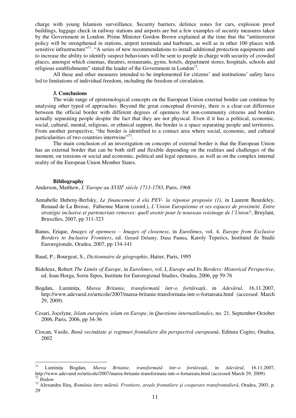charge with young Islamists surveillance. Security barriers, defence zones for cars, explosion proof buildings, luggage check in railway stations and airports are but a few examples of security measures taken by the Government in London. Prime Minister Gordon Brown explained at the time that the "antiterrorist policy will be strengthened in stations, airport terminals and harbours, as well as in other 100 places with sensitive infrastructure"<sup>71</sup>. "A series of new recommendations to install additional protection equipments and to increase the ability to identify suspect behaviours will be sent to people in charge with security of crowded places, amongst which cinemas, theatres, restaurants, gyms, hotels, department stores, hospitals, schools and religious establishments" stated the leader of the Government in London<sup>72</sup>.

All these and other measures intended to be implemented for citizens' and institutions' safety have led to limitations of individual freedom, including the freedom of circulation.

## **3. Conclusions**

The wide range of epistemological concepts on the European Union external border can continue by analysing other typed of approaches. Beyond the great conceptual diversity, there is a clear-cut difference between the official border with different degrees of openness for non-community citizens and borders actually separating people despite the fact that they are not physical. Even if it has a political, economic, social, cultural, mental, religious, or ethnical support, the border is a space separating people and territories. From another perspective, "the border is identified to a contact area where social, economic, and cultural particularities of two countries intertwine"<sup>73</sup>.

The main conclusion of an investigation on concepts of external border is that the European Union has an external border that can be both stiff and flexible depending on the realities and challenges of the moment, on tensions or social and economic, political and legal openness, as well as on the complex internal reality of the European Union Member States.

#### **Bibliography**

 $\overline{a}$ 

Anderson, Matthew, *L'Europe au XVIII<sup>e</sup> siècle 1713-1783*, Paris, 1968

- Annabelle Hubeny-Berlsky, *Le financement d ela PEV- la réponse proposée (1)*, in Laurent Beurdeley, Renaud de La Brosse, Fabienne Maron (coord.), *L`Union Européenne et ses espaces de proximité. Entre stratégie inclusive et parteneriats removes: quell avenir pour le nouveau voisinage de l`Union?*, Bruylant, Bruxelles, 2007, pp 311-323
- Banus, Erique, *Images of openness – Images of closeness*, in *Eurolimes*, vol. 4, *Europe from Exclusive Borders to Inclusive Frontiers*, ed. Gerard Delanty, Dana Pantea, Karoly Teperics, Institutul de Studii Euroregionale, Oradea, 2007, pp 134-141
- Baud, P.; Bourgeat, S., *Dictionnaire de géographie*, Hatier, Paris, 1995
- Bideleux, Robert *The Limits of Europe*, in *Eurolimes*, vol. I, *Europe and Its Borders: Historical Perspective*, ed. Ioan Horga, Sorin Sipos, Institute for Euroregional Studies, Oradea, 2006, pp 59-76
- Bogdan, Luminiţa, *Marea Britanie, transformată într-o fortăreaţă*, in *Adevărul*, 16.11.2007, <http://www.adevarul.ro/articole/2007/marea-britanie-transformata-intr-o-fortareata.html>(accessed March 29, 2009).
- Cesari, Jocelyne, *Islam européen, islam en Europe*, in *Questions internatilonales*, no. 21, September-October 2006, Paris, 2006, pp 34-36
- Ciocan, Vasile, *Bună vecinătate şi regimuri frontaliere din perspectivă europeană*, Editura Cogito, Oradea, 2002

<sup>71</sup> Luminiţa Bogdan, *Marea Britanie, transformată într-o fortăreaţă*, in *Adevărul*, 16.11.2007, <http://www.adevarul.ro/articole/2007/marea-britanie-transformata-intr-o-fortareata.html>(accessed March 29, 2009). <sup>72</sup> *Ibidem* 

<sup>73</sup> Alexandru Ilieş, *România între milenii. Frontiere, areale frontaliere şi cooperare transfrontalieră*, Oradea, 2003, p. 29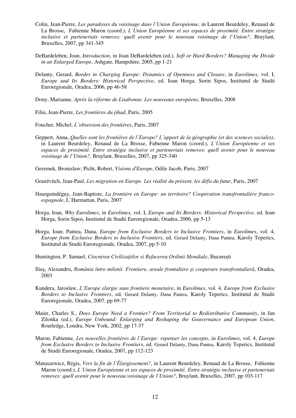- Colin, Jean-Pierre, *Les paradoxes du voisinage dans l'Union Européenne*, in Laurent Beurdeley, Renaud de La Brosse, Fabienne Maron (coord.), *L`Union Européenne et ses espaces de proximité. Entre stratégie inclusive et parteneriats removes: quell avenir pour le nouveau voisinage de l`Union?*, Bruylant, Bruxelles, 2007, pp 341-345
- DeBardeleben, Joan, *Introduction*, in Joan DeBardeleben (ed.), *Soft or Hard Borders? Managing the Divide in an Enlarged Europe*, Ashgate, Hampshire, 2005, pp 1-21
- Delanty, Gerard, *Border in Charging Europe: Dynamics of Openness and Closure*, in *Eurolimes*, vol. I, *Europe and Its Borders: Historical Perspective*, ed. Ioan Horga, Sorin Sipos, Institutul de Studii Euroregionale, Oradea, 2006, pp 46-58
- Dony, Marianne, *Après la réforme de Lisabonne. Les nouveaux européens*, Bruxelles, 2008

Filiu, Jean-Pierre, *Les frontières du jihad*, Paris, 2005

Foucher, Michel, *L'obsession des frontières*, Paris, 2007

Geppert, Anna, *Quelles sont les frontières de l'Europe? L'apport de la géographie (et des sciences sociales)*, in Laurent Beurdeley, Renaud de La Brosse, Fabienne Maron (coord.), *L`Union Européenne et ses espaces de proximité. Entre stratégie inclusive et parteneriats removes: quell avenir pour le nouveau voisinage de l`Union?*, Bruylant, Bruxelles, 2007, pp 325-340

Geremek, Bronislaw; Picht, Robert, *Visions d'Europe*, Odile Jacob, Paris, 2007

Gourévitch, Jean-Paul, *Les migration en Europe. Les réalité du présent, les défis du futur*, Paris, 2007

- Haurguindéguy, Jean-Baptiste, *La frontière en Europe: un territoire? Coopération transfrontalière francoespagnole*, L`Harmattan, Paris, 2007
- Horga, Ioan, *Why Eurolimes*, in *Eurolimes*, vol. I, *Europe and Its Borders: Historical Perspective*, ed. Ioan Horga, Sorin Sipos, Institutul de Studii Euroregionale, Oradea, 2006, pp 5-13
- Horga, Ioan; Pantea, Dana, *Europe from Exclusive Borders to Inclusive Frontiers*, in *Eurolimes*, vol. 4, *Europe from Exclusive Borders to Inclusive Frontiers*, ed. Gerard Delanty, Dana Pantea, Karoly Teperics, Institutul de Studii Euroregionale, Oradea, 2007, pp 5-10
- Huntington, P. Samuel, *Ciocnirea Civilizaţiilor si Refacerea Ordinii Mondiale*, Bucureşti
- Ilieş, Alexandru, *România între milenii. Frontiere, areale frontaliere şi cooperare transfrontalieră*, Oradea, 2003
- Kundera, Jaroslaw, *L'Europe elargie sans frontiere monetaire*, in *Eurolimes*, vol. 4, *Europe from Exclusive Borders to Inclusive Frontiers*, ed. Gerard Delanty, Dana Pantea, Karoly Teperics, Institutul de Studii Euroregionale, Oradea, 2007, pp 69-77
- Maier, Charles S., *Does Europe Need a Frontier? From Territorial to Redistributive Community*, in Jan Zilonka (ed.), *Europe Unbound: Enlarging and Reshaping the Gouvernance and European Union*, Routledge, Londra, New York, 2002, pp 17-37
- Maron, Fabienne, *Les nouvelles frontières de l`Europe: repenser les concepts*, in *Eurolimes*, vol. 4, *Europe from Exclusive Borders to Inclusive Frontiers*, ed. Gerard Delanty, Dana Pantea, Karoly Teperics, Institutul de Studii Euroregionale, Oradea, 2007, pp 112-123
- Matuszewicz, Régis, *Vers la fin de l`Élargissement?*, in Laurent Beurdeley, Renaud de La Brosse, Fabienne Maron (coord.), *L`Union Européenne et ses espaces de proximité. Entre stratégie inclusive et parteneriats removes: quell avenir pour le nouveau voisinage de l`Union?*, Bruylant, Bruxelles, 2007, pp 103-117